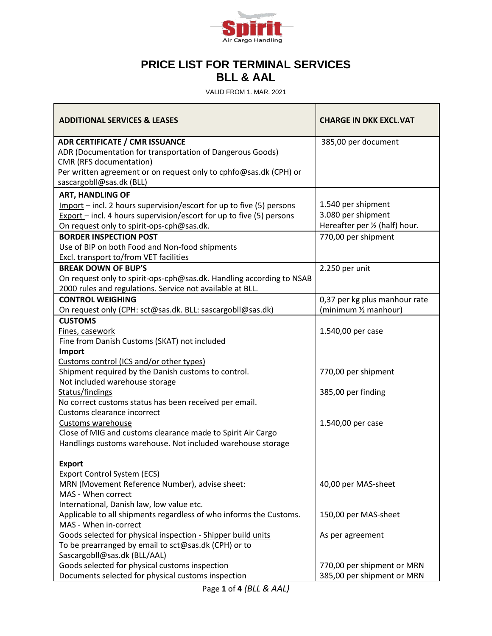

## **PRICE LIST FOR TERMINAL SERVICES BLL & AAL**

VALID FROM 1. MAR. 2021

| <b>ADDITIONAL SERVICES &amp; LEASES</b>                                                         | <b>CHARGE IN DKK EXCL.VAT</b>  |
|-------------------------------------------------------------------------------------------------|--------------------------------|
| <b>ADR CERTIFICATE / CMR ISSUANCE</b>                                                           | 385,00 per document            |
| ADR (Documentation for transportation of Dangerous Goods)                                       |                                |
| CMR (RFS documentation)                                                                         |                                |
| Per written agreement or on request only to cphfo@sas.dk (CPH) or<br>sascargobll@sas.dk (BLL)   |                                |
| <b>ART, HANDLING OF</b>                                                                         |                                |
| Import – incl. 2 hours supervision/escort for up to five (5) persons                            | 1.540 per shipment             |
| $Export$ – incl. 4 hours supervision/escort for up to five (5) persons                          | 3.080 per shipment             |
| On request only to spirit-ops-cph@sas.dk.                                                       | Hereafter per 1/2 (half) hour. |
| <b>BORDER INSPECTION POST</b>                                                                   | 770,00 per shipment            |
| Use of BIP on both Food and Non-food shipments                                                  |                                |
| Excl. transport to/from VET facilities                                                          |                                |
| <b>BREAK DOWN OF BUP'S</b>                                                                      | 2.250 per unit                 |
| On request only to spirit-ops-cph@sas.dk. Handling according to NSAB                            |                                |
| 2000 rules and regulations. Service not available at BLL.                                       |                                |
| <b>CONTROL WEIGHING</b>                                                                         | 0,37 per kg plus manhour rate  |
| On request only (CPH: sct@sas.dk. BLL: sascargobll@sas.dk)                                      | (minimum 1/2 manhour)          |
| <b>CUSTOMS</b>                                                                                  |                                |
| Fines, casework                                                                                 | 1.540,00 per case              |
| Fine from Danish Customs (SKAT) not included                                                    |                                |
| Import                                                                                          |                                |
| Customs control (ICS and/or other types)<br>Shipment required by the Danish customs to control. | 770,00 per shipment            |
| Not included warehouse storage                                                                  |                                |
| Status/findings                                                                                 | 385,00 per finding             |
| No correct customs status has been received per email.                                          |                                |
| Customs clearance incorrect                                                                     |                                |
| Customs warehouse                                                                               | 1.540,00 per case              |
| Close of MIG and customs clearance made to Spirit Air Cargo                                     |                                |
| Handlings customs warehouse. Not included warehouse storage                                     |                                |
|                                                                                                 |                                |
| <b>Export</b>                                                                                   |                                |
| <b>Export Control System (ECS)</b>                                                              |                                |
| MRN (Movement Reference Number), advise sheet:                                                  | 40,00 per MAS-sheet            |
| MAS - When correct                                                                              |                                |
| International, Danish law, low value etc.                                                       |                                |
| Applicable to all shipments regardless of who informs the Customs.<br>MAS - When in-correct     | 150,00 per MAS-sheet           |
| Goods selected for physical inspection - Shipper build units                                    | As per agreement               |
| To be prearranged by email to sct@sas.dk (CPH) or to                                            |                                |
| Sascargobll@sas.dk (BLL/AAL)                                                                    |                                |
| Goods selected for physical customs inspection                                                  | 770,00 per shipment or MRN     |
| Documents selected for physical customs inspection                                              | 385,00 per shipment or MRN     |

Page **1** of **4** *(BLL & AAL)*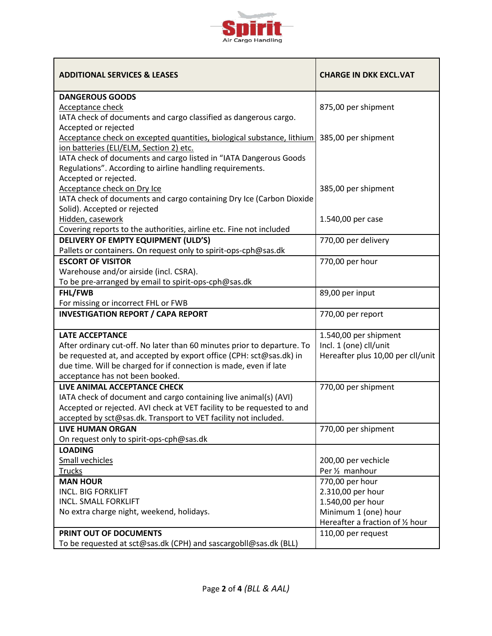

| <b>ADDITIONAL SERVICES &amp; LEASES</b>                                 | <b>CHARGE IN DKK EXCL.VAT</b>     |
|-------------------------------------------------------------------------|-----------------------------------|
| <b>DANGEROUS GOODS</b>                                                  |                                   |
| <b>Acceptance check</b>                                                 | 875,00 per shipment               |
| IATA check of documents and cargo classified as dangerous cargo.        |                                   |
| Accepted or rejected                                                    |                                   |
| Acceptance check on excepted quantities, biological substance, lithium  | 385,00 per shipment               |
| ion batteries (ELI/ELM, Section 2) etc.                                 |                                   |
| IATA check of documents and cargo listed in "IATA Dangerous Goods       |                                   |
| Regulations". According to airline handling requirements.               |                                   |
| Accepted or rejected.                                                   |                                   |
| Acceptance check on Dry Ice                                             | 385,00 per shipment               |
| IATA check of documents and cargo containing Dry Ice (Carbon Dioxide    |                                   |
| Solid). Accepted or rejected                                            |                                   |
| Hidden, casework                                                        | 1.540,00 per case                 |
| Covering reports to the authorities, airline etc. Fine not included     |                                   |
| DELIVERY OF EMPTY EQUIPMENT (ULD'S)                                     | 770,00 per delivery               |
| Pallets or containers. On request only to spirit-ops-cph@sas.dk         |                                   |
| <b>ESCORT OF VISITOR</b>                                                | 770,00 per hour                   |
| Warehouse and/or airside (incl. CSRA).                                  |                                   |
| To be pre-arranged by email to spirit-ops-cph@sas.dk                    |                                   |
| FHL/FWB                                                                 | 89,00 per input                   |
| For missing or incorrect FHL or FWB                                     |                                   |
| <b>INVESTIGATION REPORT / CAPA REPORT</b>                               | 770,00 per report                 |
| <b>LATE ACCEPTANCE</b>                                                  | 1.540,00 per shipment             |
| After ordinary cut-off. No later than 60 minutes prior to departure. To | Incl. 1 (one) cll/unit            |
| be requested at, and accepted by export office (CPH: sct@sas.dk) in     | Hereafter plus 10,00 per cll/unit |
| due time. Will be charged for if connection is made, even if late       |                                   |
| acceptance has not been booked.                                         |                                   |
| LIVE ANIMAL ACCEPTANCE CHECK                                            | 770,00 per shipment               |
| IATA check of document and cargo containing live animal(s) (AVI)        |                                   |
| Accepted or rejected. AVI check at VET facility to be requested to and  |                                   |
| accepted by sct@sas.dk. Transport to VET facility not included.         |                                   |
| <b>LIVE HUMAN ORGAN</b>                                                 | 770,00 per shipment               |
| On request only to spirit-ops-cph@sas.dk                                |                                   |
| <b>LOADING</b>                                                          |                                   |
| <b>Small vechicles</b>                                                  | 200,00 per vechicle               |
| <b>Trucks</b>                                                           | Per 1/ <sub>2</sub> manhour       |
| <b>MAN HOUR</b>                                                         | 770,00 per hour                   |
| <b>INCL. BIG FORKLIFT</b>                                               | 2.310,00 per hour                 |
| <b>INCL. SMALL FORKLIFT</b>                                             | 1.540,00 per hour                 |
| No extra charge night, weekend, holidays.                               | Minimum 1 (one) hour              |
|                                                                         | Hereafter a fraction of 1/2 hour  |
| PRINT OUT OF DOCUMENTS                                                  | 110,00 per request                |
| To be requested at sct@sas.dk (CPH) and sascargobll@sas.dk (BLL)        |                                   |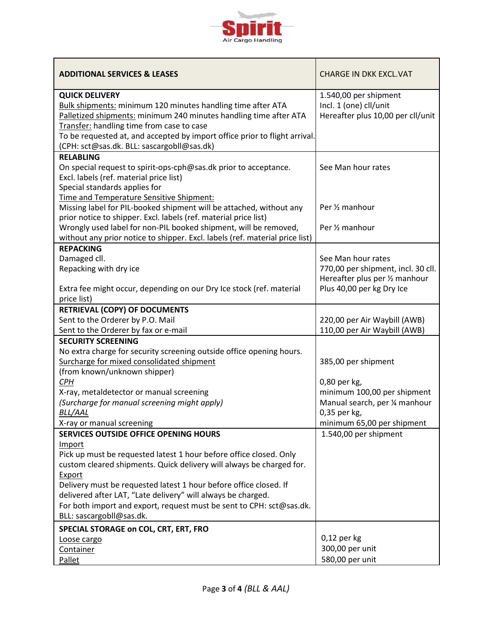

| <b>ADDITIONAL SERVICES &amp; LEASES</b>                                                                                                                                                                                                                                                                                                                                                                                                          | <b>CHARGE IN DKK EXCL.VAT</b>                                                                                           |
|--------------------------------------------------------------------------------------------------------------------------------------------------------------------------------------------------------------------------------------------------------------------------------------------------------------------------------------------------------------------------------------------------------------------------------------------------|-------------------------------------------------------------------------------------------------------------------------|
| <b>QUICK DELIVERY</b><br>Bulk shipments: minimum 120 minutes handling time after ATA<br>Palletized shipments: minimum 240 minutes handling time after ATA<br>Transfer: handling time from case to case<br>To be requested at, and accepted by import office prior to flight arrival.<br>(CPH: sct@sas.dk. BLL: sascargobll@sas.dk)                                                                                                               | 1.540,00 per shipment<br>Incl. 1 (one) cll/unit<br>Hereafter plus 10,00 per cll/unit                                    |
| <b>RELABLING</b><br>On special request to spirit-ops-cph@sas.dk prior to acceptance.<br>Excl. labels (ref. material price list)<br>Special standards applies for<br>Time and Temperature Sensitive Shipment:                                                                                                                                                                                                                                     | See Man hour rates                                                                                                      |
| Missing label for PIL-booked shipment will be attached, without any<br>prior notice to shipper. Excl. labels (ref. material price list)<br>Wrongly used label for non-PIL booked shipment, will be removed,                                                                                                                                                                                                                                      | Per 1/2 manhour<br>Per 1/2 manhour                                                                                      |
| without any prior notice to shipper. Excl. labels (ref. material price list)                                                                                                                                                                                                                                                                                                                                                                     |                                                                                                                         |
| <b>REPACKING</b><br>Damaged cll.<br>Repacking with dry ice<br>Extra fee might occur, depending on our Dry Ice stock (ref. material<br>price list)                                                                                                                                                                                                                                                                                                | See Man hour rates<br>770,00 per shipment, incl. 30 cll.<br>Hereafter plus per 1/2 manhour<br>Plus 40,00 per kg Dry Ice |
| RETRIEVAL (COPY) OF DOCUMENTS                                                                                                                                                                                                                                                                                                                                                                                                                    |                                                                                                                         |
| Sent to the Orderer by P.O. Mail                                                                                                                                                                                                                                                                                                                                                                                                                 | 220,00 per Air Waybill (AWB)                                                                                            |
| Sent to the Orderer by fax or e-mail                                                                                                                                                                                                                                                                                                                                                                                                             | 110,00 per Air Waybill (AWB)                                                                                            |
| <b>SECURITY SCREENING</b><br>No extra charge for security screening outside office opening hours.<br>Surcharge for mixed consolidated shipment<br>(from known/unknown shipper)<br><b>CPH</b><br>X-ray, metaldetector or manual screening<br>(Surcharge for manual screening might apply)                                                                                                                                                         | 385,00 per shipment<br>0,80 per kg,<br>minimum 100,00 per shipment<br>Manual search, per 1/4 manhour                    |
| BLL/AAL                                                                                                                                                                                                                                                                                                                                                                                                                                          | 0,35 per kg,                                                                                                            |
| X-ray or manual screening                                                                                                                                                                                                                                                                                                                                                                                                                        | minimum 65,00 per shipment                                                                                              |
| SERVICES OUTSIDE OFFICE OPENING HOURS<br>Import<br>Pick up must be requested latest 1 hour before office closed. Only<br>custom cleared shipments. Quick delivery will always be charged for.<br>Export<br>Delivery must be requested latest 1 hour before office closed. If<br>delivered after LAT, "Late delivery" will always be charged.<br>For both import and export, request must be sent to CPH: sct@sas.dk.<br>BLL: sascargobll@sas.dk. | 1.540,00 per shipment                                                                                                   |
| SPECIAL STORAGE on COL, CRT, ERT, FRO                                                                                                                                                                                                                                                                                                                                                                                                            |                                                                                                                         |
| Loose cargo<br>Container<br>Pallet                                                                                                                                                                                                                                                                                                                                                                                                               | $0,12$ per kg<br>300,00 per unit<br>580,00 per unit                                                                     |